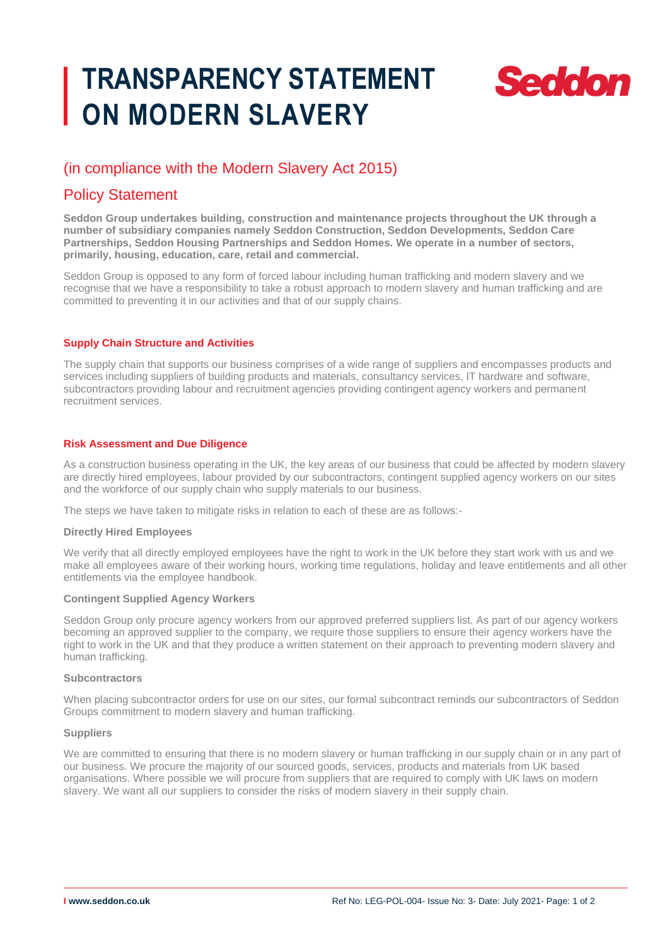# **TRANSPARENCY STATEMENT ON MODERN SLAVERY**



# (in compliance with the Modern Slavery Act 2015)

# Policy Statement

**Seddon Group undertakes building, construction and maintenance projects throughout the UK through a number of subsidiary companies namely Seddon Construction, Seddon Developments, Seddon Care Partnerships, Seddon Housing Partnerships and Seddon Homes. We operate in a number of sectors, primarily, housing, education, care, retail and commercial.**

Seddon Group is opposed to any form of forced labour including human trafficking and modern slavery and we recognise that we have a responsibility to take a robust approach to modern slavery and human trafficking and are committed to preventing it in our activities and that of our supply chains.

# **Supply Chain Structure and Activities**

The supply chain that supports our business comprises of a wide range of suppliers and encompasses products and services including suppliers of building products and materials, consultancy services, IT hardware and software, subcontractors providing labour and recruitment agencies providing contingent agency workers and permanent recruitment services.

# **Risk Assessment and Due Diligence**

As a construction business operating in the UK, the key areas of our business that could be affected by modern slavery are directly hired employees, labour provided by our subcontractors, contingent supplied agency workers on our sites and the workforce of our supply chain who supply materials to our business.

The steps we have taken to mitigate risks in relation to each of these are as follows:-

# **Directly Hired Employees**

We verify that all directly employed employees have the right to work in the UK before they start work with us and we make all employees aware of their working hours, working time regulations, holiday and leave entitlements and all other entitlements via the employee handbook.

# **Contingent Supplied Agency Workers**

Seddon Group only procure agency workers from our approved preferred suppliers list. As part of our agency workers becoming an approved supplier to the company, we require those suppliers to ensure their agency workers have the right to work in the UK and that they produce a written statement on their approach to preventing modern slavery and human trafficking.

#### **Subcontractors**

When placing subcontractor orders for use on our sites, our formal subcontract reminds our subcontractors of Seddon Groups commitment to modern slavery and human trafficking.

#### **Suppliers**

We are committed to ensuring that there is no modern slavery or human trafficking in our supply chain or in any part of our business. We procure the majority of our sourced goods, services, products and materials from UK based organisations. Where possible we will procure from suppliers that are required to comply with UK laws on modern slavery. We want all our suppliers to consider the risks of modern slavery in their supply chain.